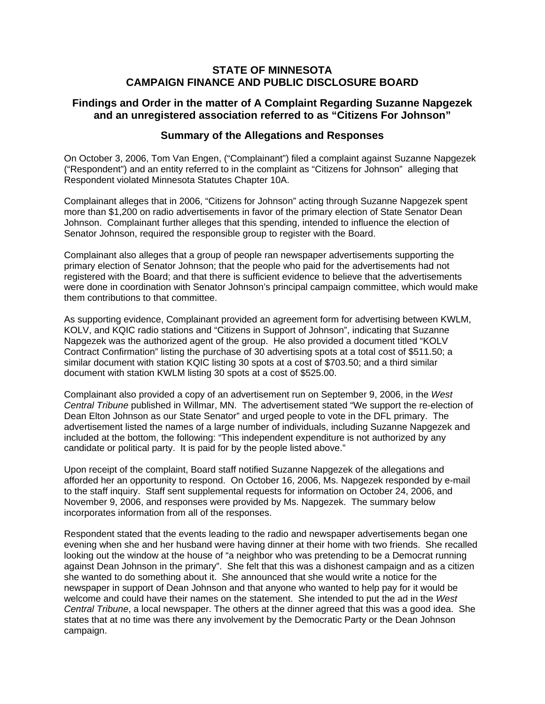# **STATE OF MINNESOTA CAMPAIGN FINANCE AND PUBLIC DISCLOSURE BOARD**

# **Findings and Order in the matter of A Complaint Regarding Suzanne Napgezek and an unregistered association referred to as "Citizens For Johnson"**

# **Summary of the Allegations and Responses**

On October 3, 2006, Tom Van Engen, ("Complainant") filed a complaint against Suzanne Napgezek ("Respondent") and an entity referred to in the complaint as "Citizens for Johnson" alleging that Respondent violated Minnesota Statutes Chapter 10A.

Complainant alleges that in 2006, "Citizens for Johnson" acting through Suzanne Napgezek spent more than \$1,200 on radio advertisements in favor of the primary election of State Senator Dean Johnson. Complainant further alleges that this spending, intended to influence the election of Senator Johnson, required the responsible group to register with the Board.

Complainant also alleges that a group of people ran newspaper advertisements supporting the primary election of Senator Johnson; that the people who paid for the advertisements had not registered with the Board; and that there is sufficient evidence to believe that the advertisements were done in coordination with Senator Johnson's principal campaign committee, which would make them contributions to that committee.

As supporting evidence, Complainant provided an agreement form for advertising between KWLM, KOLV, and KQIC radio stations and "Citizens in Support of Johnson", indicating that Suzanne Napgezek was the authorized agent of the group. He also provided a document titled "KOLV Contract Confirmation" listing the purchase of 30 advertising spots at a total cost of \$511.50; a similar document with station KQIC listing 30 spots at a cost of \$703.50; and a third similar document with station KWLM listing 30 spots at a cost of \$525.00.

Complainant also provided a copy of an advertisement run on September 9, 2006, in the *West Central Tribune* published in Willmar, MN. The advertisement stated "We support the re-election of Dean Elton Johnson as our State Senator" and urged people to vote in the DFL primary. The advertisement listed the names of a large number of individuals, including Suzanne Napgezek and included at the bottom, the following: "This independent expenditure is not authorized by any candidate or political party. It is paid for by the people listed above."

Upon receipt of the complaint, Board staff notified Suzanne Napgezek of the allegations and afforded her an opportunity to respond. On October 16, 2006, Ms. Napgezek responded by e-mail to the staff inquiry. Staff sent supplemental requests for information on October 24, 2006, and November 9, 2006, and responses were provided by Ms. Napgezek. The summary below incorporates information from all of the responses.

Respondent stated that the events leading to the radio and newspaper advertisements began one evening when she and her husband were having dinner at their home with two friends. She recalled looking out the window at the house of "a neighbor who was pretending to be a Democrat running against Dean Johnson in the primary". She felt that this was a dishonest campaign and as a citizen she wanted to do something about it. She announced that she would write a notice for the newspaper in support of Dean Johnson and that anyone who wanted to help pay for it would be welcome and could have their names on the statement. She intended to put the ad in the *West Central Tribune*, a local newspaper. The others at the dinner agreed that this was a good idea. She states that at no time was there any involvement by the Democratic Party or the Dean Johnson campaign.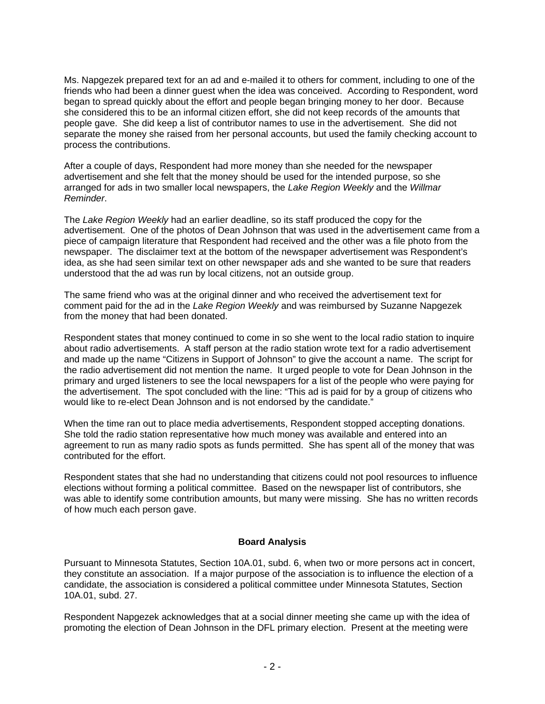Ms. Napgezek prepared text for an ad and e-mailed it to others for comment, including to one of the friends who had been a dinner guest when the idea was conceived. According to Respondent, word began to spread quickly about the effort and people began bringing money to her door. Because she considered this to be an informal citizen effort, she did not keep records of the amounts that people gave. She did keep a list of contributor names to use in the advertisement. She did not separate the money she raised from her personal accounts, but used the family checking account to process the contributions.

After a couple of days, Respondent had more money than she needed for the newspaper advertisement and she felt that the money should be used for the intended purpose, so she arranged for ads in two smaller local newspapers, the *Lake Region Weekly* and the *Willmar Reminder*.

The *Lake Region Weekly* had an earlier deadline, so its staff produced the copy for the advertisement. One of the photos of Dean Johnson that was used in the advertisement came from a piece of campaign literature that Respondent had received and the other was a file photo from the newspaper. The disclaimer text at the bottom of the newspaper advertisement was Respondent's idea, as she had seen similar text on other newspaper ads and she wanted to be sure that readers understood that the ad was run by local citizens, not an outside group.

The same friend who was at the original dinner and who received the advertisement text for comment paid for the ad in the *Lake Region Weekly* and was reimbursed by Suzanne Napgezek from the money that had been donated.

Respondent states that money continued to come in so she went to the local radio station to inquire about radio advertisements. A staff person at the radio station wrote text for a radio advertisement and made up the name "Citizens in Support of Johnson" to give the account a name. The script for the radio advertisement did not mention the name. It urged people to vote for Dean Johnson in the primary and urged listeners to see the local newspapers for a list of the people who were paying for the advertisement. The spot concluded with the line: "This ad is paid for by a group of citizens who would like to re-elect Dean Johnson and is not endorsed by the candidate."

When the time ran out to place media advertisements, Respondent stopped accepting donations. She told the radio station representative how much money was available and entered into an agreement to run as many radio spots as funds permitted. She has spent all of the money that was contributed for the effort.

Respondent states that she had no understanding that citizens could not pool resources to influence elections without forming a political committee. Based on the newspaper list of contributors, she was able to identify some contribution amounts, but many were missing. She has no written records of how much each person gave.

### **Board Analysis**

Pursuant to Minnesota Statutes, Section 10A.01, subd. 6, when two or more persons act in concert, they constitute an association. If a major purpose of the association is to influence the election of a candidate, the association is considered a political committee under Minnesota Statutes, Section 10A.01, subd. 27.

Respondent Napgezek acknowledges that at a social dinner meeting she came up with the idea of promoting the election of Dean Johnson in the DFL primary election. Present at the meeting were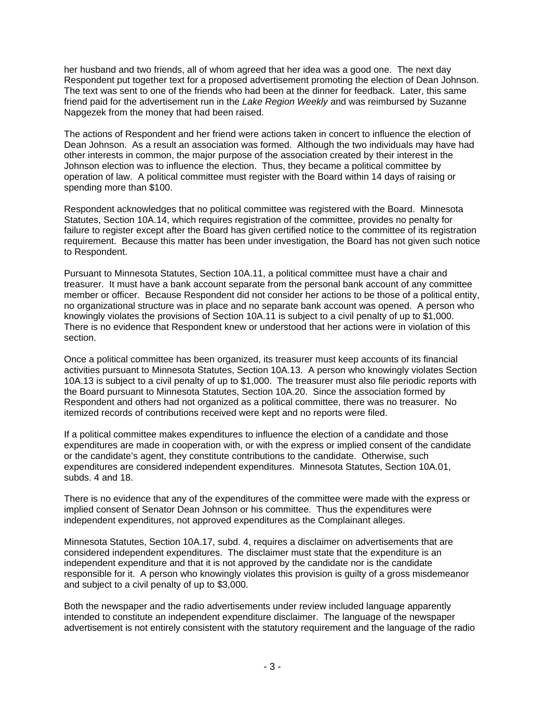her husband and two friends, all of whom agreed that her idea was a good one. The next day Respondent put together text for a proposed advertisement promoting the election of Dean Johnson. The text was sent to one of the friends who had been at the dinner for feedback. Later, this same friend paid for the advertisement run in the *Lake Region Weekly* and was reimbursed by Suzanne Napgezek from the money that had been raised.

The actions of Respondent and her friend were actions taken in concert to influence the election of Dean Johnson. As a result an association was formed. Although the two individuals may have had other interests in common, the major purpose of the association created by their interest in the Johnson election was to influence the election. Thus, they became a political committee by operation of law. A political committee must register with the Board within 14 days of raising or spending more than \$100.

Respondent acknowledges that no political committee was registered with the Board. Minnesota Statutes, Section 10A.14, which requires registration of the committee, provides no penalty for failure to register except after the Board has given certified notice to the committee of its registration requirement. Because this matter has been under investigation, the Board has not given such notice to Respondent.

Pursuant to Minnesota Statutes, Section 10A.11, a political committee must have a chair and treasurer. It must have a bank account separate from the personal bank account of any committee member or officer. Because Respondent did not consider her actions to be those of a political entity, no organizational structure was in place and no separate bank account was opened. A person who knowingly violates the provisions of Section 10A.11 is subject to a civil penalty of up to \$1,000. There is no evidence that Respondent knew or understood that her actions were in violation of this section.

Once a political committee has been organized, its treasurer must keep accounts of its financial activities pursuant to Minnesota Statutes, Section 10A.13. A person who knowingly violates Section 10A.13 is subject to a civil penalty of up to \$1,000. The treasurer must also file periodic reports with the Board pursuant to Minnesota Statutes, Section 10A.20. Since the association formed by Respondent and others had not organized as a political committee, there was no treasurer. No itemized records of contributions received were kept and no reports were filed.

If a political committee makes expenditures to influence the election of a candidate and those expenditures are made in cooperation with, or with the express or implied consent of the candidate or the candidate's agent, they constitute contributions to the candidate. Otherwise, such expenditures are considered independent expenditures. Minnesota Statutes, Section 10A.01, subds. 4 and 18.

There is no evidence that any of the expenditures of the committee were made with the express or implied consent of Senator Dean Johnson or his committee. Thus the expenditures were independent expenditures, not approved expenditures as the Complainant alleges.

Minnesota Statutes, Section 10A.17, subd. 4, requires a disclaimer on advertisements that are considered independent expenditures. The disclaimer must state that the expenditure is an independent expenditure and that it is not approved by the candidate nor is the candidate responsible for it. A person who knowingly violates this provision is guilty of a gross misdemeanor and subject to a civil penalty of up to \$3,000.

Both the newspaper and the radio advertisements under review included language apparently intended to constitute an independent expenditure disclaimer. The language of the newspaper advertisement is not entirely consistent with the statutory requirement and the language of the radio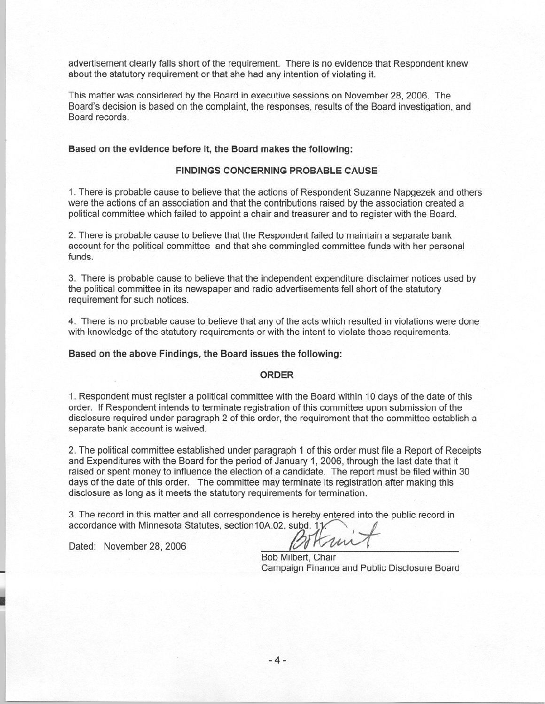advertisement clearly falls short of the requirement. There is no evidence that Respondent knew about the statutory requirement or that she had any intention of violating it.

This matter was considered by the Board in executive sessions on November 28, 2006. The Board's decision is based on the complaint, the responses, results of the Board investigation, and Board records.

#### Based on the evidence before it, the Board makes the following:

#### **FINDINGS CONCERNING PROBABLE CAUSE**

1. There is probable cause to believe that the actions of Respondent Suzanne Napgezek and others were the actions of an association and that the contributions raised by the association created a political committee which failed to appoint a chair and treasurer and to register with the Board.

2. There is probable cause to believe that the Respondent failed to maintain a separate bank account for the political committee and that she commingled committee funds with her personal funds.

3. There is probable cause to believe that the independent expenditure disclaimer notices used by the political committee in its newspaper and radio advertisements fell short of the statutory requirement for such notices.

4. There is no probable cause to believe that any of the acts which resulted in violations were done with knowledge of the statutory requirements or with the intent to violate those requirements.

#### Based on the above Findings, the Board issues the following:

#### **ORDER**

1. Respondent must register a political committee with the Board within 10 days of the date of this order. If Respondent intends to terminate registration of this committee upon submission of the disclosure required under paragraph 2 of this order, the requirement that the committee establish a separate bank account is waived.

2. The political committee established under paragraph 1 of this order must file a Report of Receipts and Expenditures with the Board for the period of January 1, 2006, through the last date that it raised or spent money to influence the election of a candidate. The report must be filed within 30 days of the date of this order. The committee may terminate its registration after making this disclosure as long as it meets the statutory requirements for termination.

3. The record in this matter and all correspondence is hereby entered into the public record in accordance with Minnesota Statutes, section10A.02, subd. 11

Dated: November 28, 2006

Bob Milbert, Chair Campaign Finance and Public Disclosure Board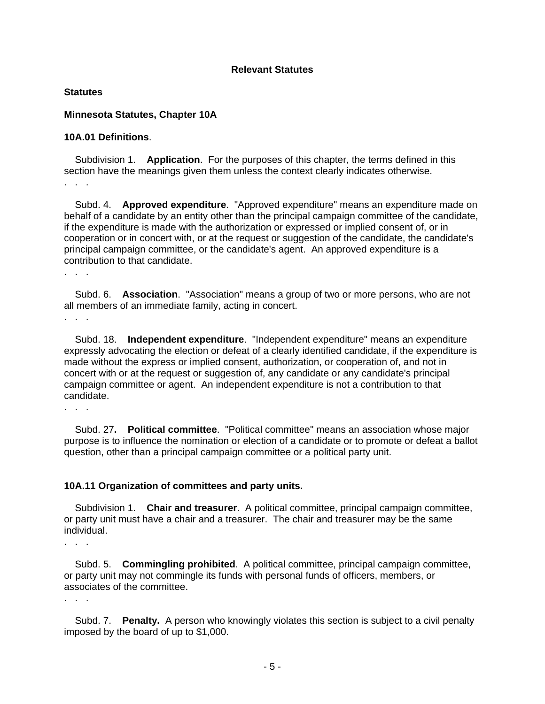### **Relevant Statutes**

#### **Statutes**

### **Minnesota Statutes, Chapter 10A**

### **10A.01 Definitions**.

 Subdivision 1. **Application**. For the purposes of this chapter, the terms defined in this section have the meanings given them unless the context clearly indicates otherwise. . . .

 Subd. 4. **Approved expenditure**. "Approved expenditure" means an expenditure made on behalf of a candidate by an entity other than the principal campaign committee of the candidate, if the expenditure is made with the authorization or expressed or implied consent of, or in cooperation or in concert with, or at the request or suggestion of the candidate, the candidate's principal campaign committee, or the candidate's agent. An approved expenditure is a contribution to that candidate.

. . .

 Subd. 6. **Association**. "Association" means a group of two or more persons, who are not all members of an immediate family, acting in concert.

. . .

 Subd. 18. **Independent expenditure**. "Independent expenditure" means an expenditure expressly advocating the election or defeat of a clearly identified candidate, if the expenditure is made without the express or implied consent, authorization, or cooperation of, and not in concert with or at the request or suggestion of, any candidate or any candidate's principal campaign committee or agent. An independent expenditure is not a contribution to that candidate.

. . .

 Subd. 27**. Political committee**. "Political committee" means an association whose major purpose is to influence the nomination or election of a candidate or to promote or defeat a ballot question, other than a principal campaign committee or a political party unit.

# **10A.11 Organization of committees and party units.**

 Subdivision 1. **Chair and treasurer**. A political committee, principal campaign committee, or party unit must have a chair and a treasurer. The chair and treasurer may be the same individual.

. . .

 Subd. 5. **Commingling prohibited**. A political committee, principal campaign committee, or party unit may not commingle its funds with personal funds of officers, members, or associates of the committee.

. . .

 Subd. 7. **Penalty.** A person who knowingly violates this section is subject to a civil penalty imposed by the board of up to \$1,000.